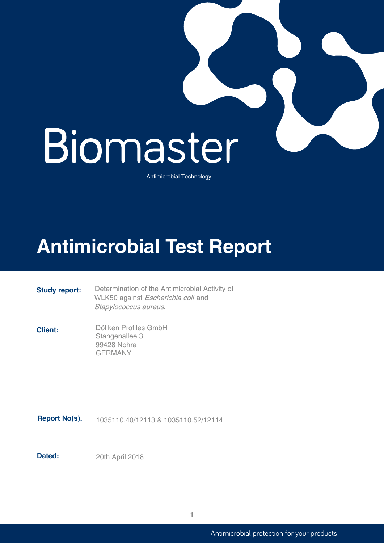

Antimicrobial Technology

# **Antimicrobial Test Report**

**Study report:** Determination of the Antimicrobial Activity of WLK50 against Escherichia coli and Stapylococcus aureus.

**Client:** Döllken Profiles GmbH Stangenallee 3 99428 Nohra GERMANY

**Report No(s).** 1035110.40/12113 & 1035110.52/12114

**Dated:** 20th April 2018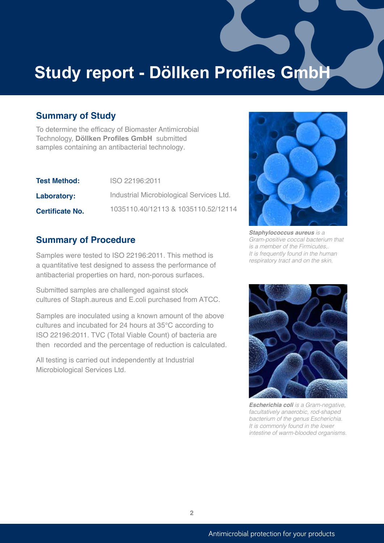# **Study report - Döllken Profiles GmbH**

### **Summary of Study**

To determine the efficacy of Biomaster Antimicrobial Technology, **Döllken Profiles GmbH** submitted samples containing an antibacterial technology.

| <b>Test Method:</b>    | ISO 22196:2011                           |
|------------------------|------------------------------------------|
| <b>Laboratory:</b>     | Industrial Microbiological Services Ltd. |
| <b>Certificate No.</b> | 1035110.40/12113 & 1035110.52/12114      |

#### **Summary of Procedure**

Samples were tested to ISO 22196:2011. This method is a quantitative test designed to assess the performance of antibacterial properties on hard, non-porous surfaces.

Submitted samples are challenged against stock cultures of Staph.aureus and E.coli purchased from ATCC.

Samples are inoculated using a known amount of the above cultures and incubated for 24 hours at 35°C according to ISO 22196:2011. TVC (Total Viable Count) of bacteria are then recorded and the percentage of reduction is calculated.

All testing is carried out independently at Industrial Microbiological Services Ltd.



*Staphylococcus aureus is a Gram-positive coccal bacterium that is a member of the Firmicutes,. It is frequently found in the human respiratory tract and on the skin.* 



*Escherichia coli is a Gram-negative, facultatively anaerobic, rod-shaped bacterium of the genus Escherichia. It is commonly found in the lower intestine of warm-blooded organisms.*